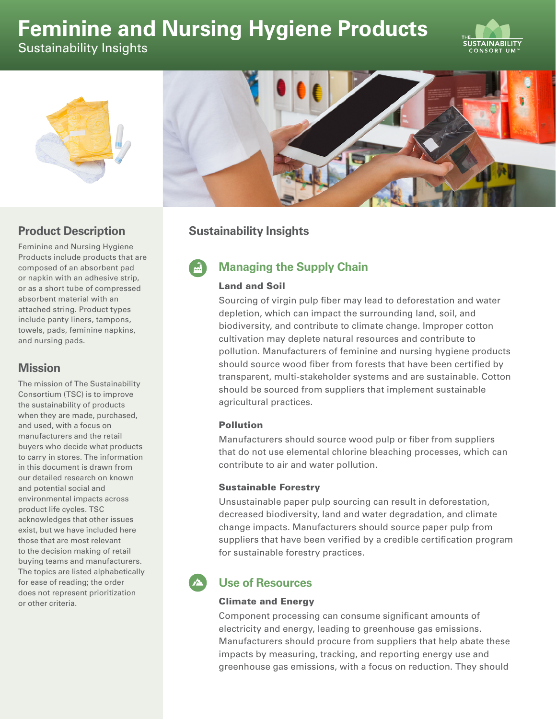# **Feminine and Nursing Hygiene Products**







## **Product Description**

Feminine and Nursing Hygiene Products include products that are composed of an absorbent pad or napkin with an adhesive strip, or as a short tube of compressed absorbent material with an attached string. Product types include panty liners, tampons, towels, pads, feminine napkins, and nursing pads.

### **Mission**

The mission of The Sustainability Consortium (TSC) is to improve the sustainability of products when they are made, purchased, and used, with a focus on manufacturers and the retail buyers who decide what products to carry in stores. The information in this document is drawn from our detailed research on known and potential social and environmental impacts across product life cycles. TSC acknowledges that other issues exist, but we have included here those that are most relevant to the decision making of retail buying teams and manufacturers. The topics are listed alphabetically for ease of reading; the order does not represent prioritization or other criteria.

# **Sustainability Insights**

# **Managing the Supply Chain**

#### Land and Soil

Sourcing of virgin pulp fiber may lead to deforestation and water depletion, which can impact the surrounding land, soil, and biodiversity, and contribute to climate change. Improper cotton cultivation may deplete natural resources and contribute to pollution. Manufacturers of feminine and nursing hygiene products should source wood fiber from forests that have been certified by transparent, multi-stakeholder systems and are sustainable. Cotton should be sourced from suppliers that implement sustainable agricultural practices.

#### Pollution

Manufacturers should source wood pulp or fiber from suppliers that do not use elemental chlorine bleaching processes, which can contribute to air and water pollution.

#### Sustainable Forestry

Unsustainable paper pulp sourcing can result in deforestation, decreased biodiversity, land and water degradation, and climate change impacts. Manufacturers should source paper pulp from suppliers that have been verified by a credible certification program for sustainable forestry practices.

# **Use of Resources**

#### Climate and Energy

Component processing can consume significant amounts of electricity and energy, leading to greenhouse gas emissions. Manufacturers should procure from suppliers that help abate these impacts by measuring, tracking, and reporting energy use and greenhouse gas emissions, with a focus on reduction. They should